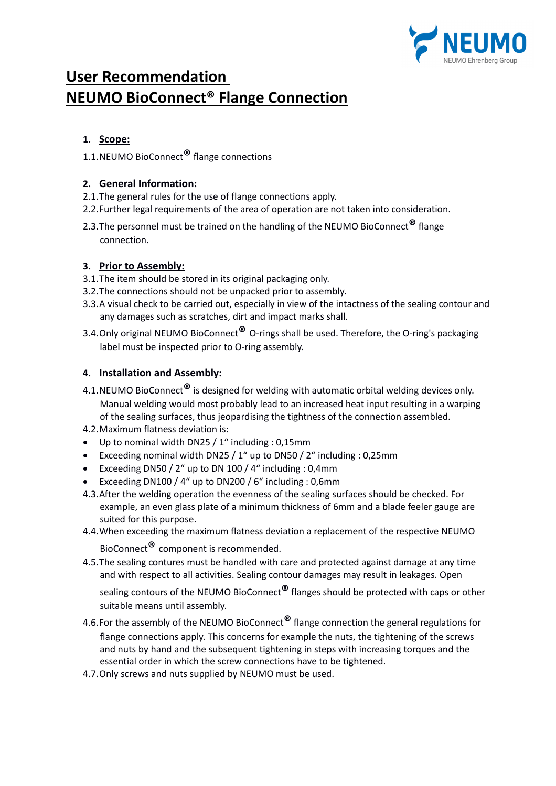

# **User Recommendation NEUMO BioConnect® Flange Connection**

# **1. Scope:**

1.1.NEUMO BioConnect**®** flange connections

#### **2. General Information:**

- 2.1.The general rules for the use of flange connections apply.
- 2.2.Further legal requirements of the area of operation are not taken into consideration.
- 2.3.The personnel must be trained on the handling of the NEUMO BioConnect**®** flange connection.

### **3. Prior to Assembly:**

- 3.1.The item should be stored in its original packaging only.
- 3.2.The connections should not be unpacked prior to assembly.
- 3.3.A visual check to be carried out, especially in view of the intactness of the sealing contour and any damages such as scratches, dirt and impact marks shall.
- 3.4.Only original NEUMO BioConnect**®** O-rings shall be used. Therefore, the O-ring's packaging label must be inspected prior to O-ring assembly.

# **4. Installation and Assembly:**

- 4.1.NEUMO BioConnect**®** is designed for welding with automatic orbital welding devices only. Manual welding would most probably lead to an increased heat input resulting in a warping of the sealing surfaces, thus jeopardising the tightness of the connection assembled.
- 4.2.Maximum flatness deviation is:
- Up to nominal width DN25 / 1" including : 0,15mm
- Exceeding nominal width DN25 / 1" up to DN50 / 2" including : 0,25mm
- Exceeding DN50 / 2" up to DN 100 / 4" including : 0,4mm
- Exceeding DN100 / 4" up to DN200 / 6" including : 0,6mm
- 4.3.After the welding operation the evenness of the sealing surfaces should be checked. For example, an even glass plate of a minimum thickness of 6mm and a blade feeler gauge are suited for this purpose.
- 4.4.When exceeding the maximum flatness deviation a replacement of the respective NEUMO

BioConnect**®** component is recommended.

4.5.The sealing contures must be handled with care and protected against damage at any time and with respect to all activities. Sealing contour damages may result in leakages. Open

sealing contours of the NEUMO BioConnect**®** flanges should be protected with caps or other suitable means until assembly.

- 4.6.For the assembly of the NEUMO BioConnect**®** flange connection the general regulations for flange connections apply. This concerns for example the nuts, the tightening of the screws and nuts by hand and the subsequent tightening in steps with increasing torques and the essential order in which the screw connections have to be tightened.
- 4.7.Only screws and nuts supplied by NEUMO must be used.